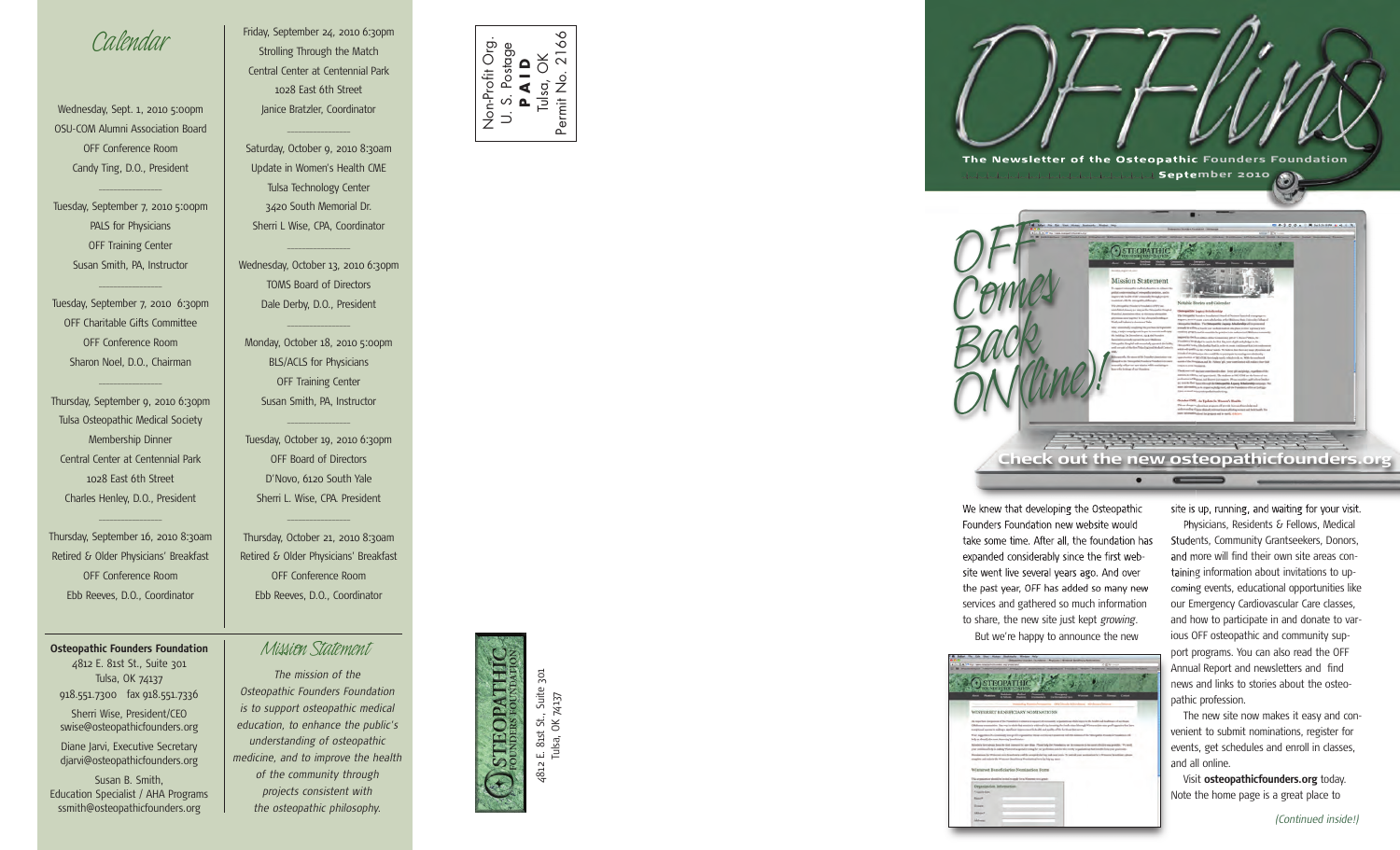## *Calendar*

Wednesday, Sept. 1, 2010 5:00pm OSU-COM Alumni Association Board OFF Conference Room Candy Ting, D.O., President

 $\overline{\phantom{a}}$  , where  $\overline{\phantom{a}}$ 

Tuesday, September 7, 2010 5:00pm PALS for Physicians OFF Training Center Susan Smith, PA, Instructor

Tuesday, September 7, 2010 6:30pm OFF Charitable Gifts Committee OFF Conference Room Sharon Noel, D.O., Chairman

 $\overline{\phantom{a}}$  , where  $\overline{\phantom{a}}$ 

 $\overline{\phantom{a}}$  , where  $\overline{\phantom{a}}$ 

Thursday, September 9, 2010 6:30pm Tulsa Osteopathic Medical Society Membership Dinner Central Center at Centennial Park 1028 East 6th Street Charles Henley, D.O., President

Thursday, September 16, 2010 8:30am Retired & Older Physicians' Breakfast OFF Conference Room Ebb Reeves, D.O., Coordinator

 $\overline{\phantom{a}}$  , where  $\overline{\phantom{a}}$ 

**Osteopathic Founders Foundation** *Mission Statement*

4812 E. 81st St., Suite 301 Tulsa, OK 74137 918.551.7300 fax 918.551.7336 Sherri Wise, President/CEO swise@osteopathicfounders.org

Diane Jarvi, Executive Secretary djarvi@osteopathicfounders.org

Susan B. Smith, Education Specialist / AHA Programs ssmith@osteopathicfounders.org

Friday, September 24, 2010 6:30pm Strolling Through the Match Central Center at Centennial Park 1028 East 6th Street Janice Bratzler, Coordinator

Saturday, October 9, 2010 8:30am Update in Women's Health CME Tulsa Technology Center 3420 South Memorial Dr. Sherri L Wise, CPA, Coordinator

 $\overline{\phantom{a}}$  , where  $\overline{\phantom{a}}$ 

Wednesday, October 13, 2010 6:30pm TOMS Board of Directors Dale Derby, D.O., President

 $\overline{\phantom{a}}$  , where  $\overline{\phantom{a}}$ 

Monday, October 18, 2010 5:00pm BLS/ACLS for Physicians OFF Training Center Susan Smith, PA, Instructor

 $\overline{\phantom{a}}$  , where  $\overline{\phantom{a}}$ 

 $\overline{\phantom{a}}$  , where  $\overline{\phantom{a}}$ 

Tuesday, October 19, 2010 6:30pm OFF Board of Directors D'Novo, 6120 South Yale Sherri L. Wise, CPA. President

 $\overline{\phantom{a}}$  , where  $\overline{\phantom{a}}$ 

Thursday, October 21, 2010 8:30am Retired & Older Physicians' Breakfast OFF Conference Room Ebb Reeves, D.O., Coordinator

*The mission of the Osteopathic Founders Foundation is to support osteopathic medical education, to enhance the public's understanding of osteopathic medicine, and to improve the health of the community through projects consistent with the osteopathic philosophy.*



Non-Profit Org. U. S. Postage **P A I D**

 $\overrightarrow{D}$ 

Non-Profit Org

Tulsa, OK<br>nit No. 21 Permit No. 2166

 $\infty$ 

Permit No.



. 81st St., Suite 301<br>
Ilsa, OK 74137 Tulsa, OK 74137 E. 81st<br>Tulsa,



We knew that developing the Osteopathic Founders Foundation new website would take some time. After all, the foundation has expanded considerably since the first website went live several years ago. And over the past year, OFF has added so many new services and gathered so much information to share, the new site just kept *growing.* But we're happy to announce the new



site is up, running, and waiting for your visit.

Physicians, Residents & Fellows, Medical Students, Community Grantseekers, Donors, and more will find their own site areas containing information about invitations to upcoming events, educational opportunities like our Emergency Cardiovascular Care classes, and how to participate in and donate to various OFF osteopathic and community support programs. You can also read the OFF Annual Report and newsletters and find news and links to stories about the osteopathic profession.

The new site now makes it easy and convenient to submit nominations, register for events, get schedules and enroll in classes, and all online.

Visit **osteopathicfounders.org** today. Note the home page is a great place to